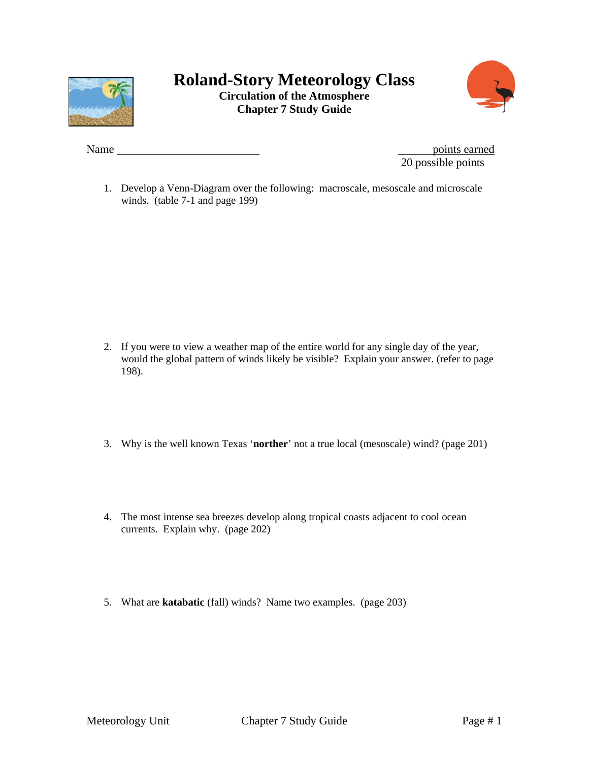

## **Roland-Story Meteorology Class Circulation of the Atmosphere Chapter 7 Study Guide**



Name points earned 20 possible points

1. Develop a Venn-Diagram over the following: macroscale, mesoscale and microscale winds. (table 7-1 and page 199)

- 2. If you were to view a weather map of the entire world for any single day of the year, would the global pattern of winds likely be visible? Explain your answer. (refer to page 198).
- 3. Why is the well known Texas '**norther**' not a true local (mesoscale) wind? (page 201)
- 4. The most intense sea breezes develop along tropical coasts adjacent to cool ocean currents. Explain why. (page 202)
- 5. What are **katabatic** (fall) winds? Name two examples. (page 203)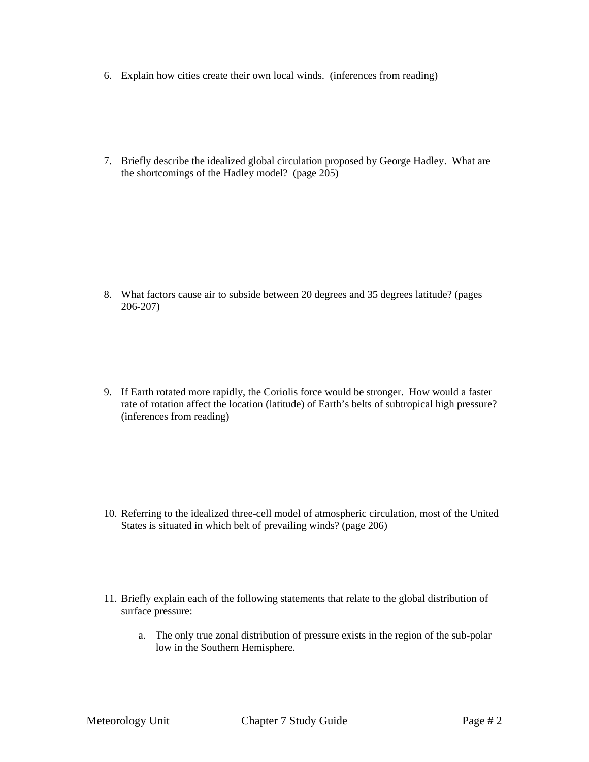- 6. Explain how cities create their own local winds. (inferences from reading)
- 7. Briefly describe the idealized global circulation proposed by George Hadley. What are the shortcomings of the Hadley model? (page 205)

- 8. What factors cause air to subside between 20 degrees and 35 degrees latitude? (pages 206-207)
- 9. If Earth rotated more rapidly, the Coriolis force would be stronger. How would a faster rate of rotation affect the location (latitude) of Earth's belts of subtropical high pressure? (inferences from reading)

- 10. Referring to the idealized three-cell model of atmospheric circulation, most of the United States is situated in which belt of prevailing winds? (page 206)
- 11. Briefly explain each of the following statements that relate to the global distribution of surface pressure:
	- a. The only true zonal distribution of pressure exists in the region of the sub-polar low in the Southern Hemisphere.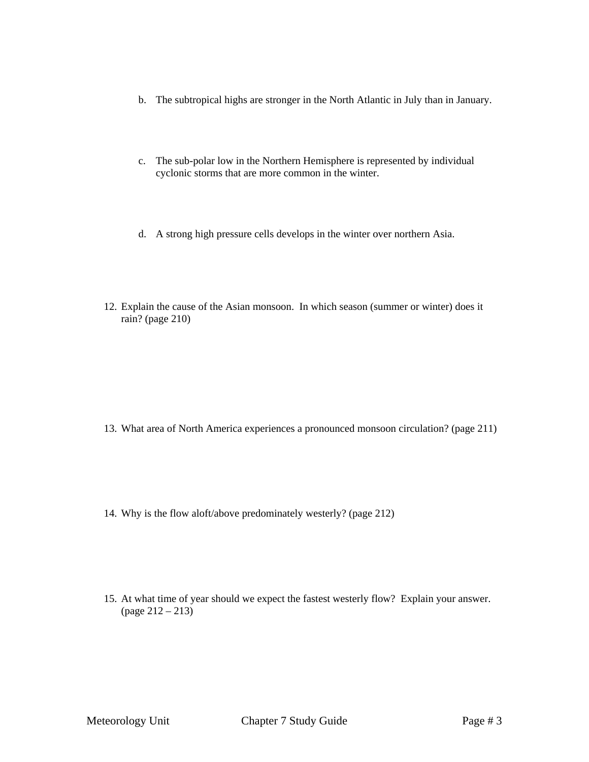- b. The subtropical highs are stronger in the North Atlantic in July than in January.
- c. The sub-polar low in the Northern Hemisphere is represented by individual cyclonic storms that are more common in the winter.
- d. A strong high pressure cells develops in the winter over northern Asia.
- 12. Explain the cause of the Asian monsoon. In which season (summer or winter) does it rain? (page 210)

- 13. What area of North America experiences a pronounced monsoon circulation? (page 211)
- 14. Why is the flow aloft/above predominately westerly? (page 212)
- 15. At what time of year should we expect the fastest westerly flow? Explain your answer. (page 212 – 213)